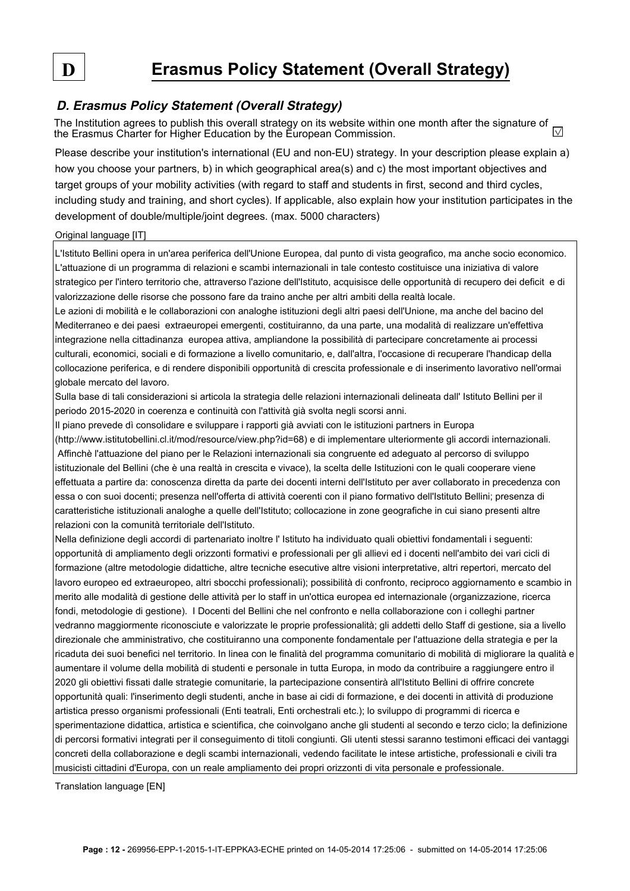## **D. Erasmus Policy Statement (Overall Strategy)**

The Institution agrees to publish this overall strategy on its website within one month after the signature of  $\overline{\vee}$ the Erasmus Charter for Higher Education by the European Commission.

Please describe your institution's international (EU and non-EU) strategy. In your description please explain a) how you choose your partners, b) in which geographical area(s) and c) the most important objectives and target groups of your mobility activities (with regard to staff and students in first, second and third cycles, including study and training, and short cycles). If applicable, also explain how your institution participates in the development of double/multiple/joint degrees. (max. 5000 characters)

## Original language [IT]

L'Istituto Bellini opera in un'area periferica dell'Unione Europea, dal punto di vista geografico, ma anche socio economico. L'attuazione di un programma di relazioni e scambi internazionali in tale contesto costituisce una iniziativa di valore strategico per l'intero territorio che, attraverso l'azione dell'Istituto, acquisisce delle opportunità di recupero dei deficit e di valorizzazione delle risorse che possono fare da traino anche per altri ambiti della realtà locale.

Le azioni di mobilità e le collaborazioni con analoghe istituzioni degli altri paesi dell'Unione, ma anche del bacino del Mediterraneo e dei paesi extraeuropei emergenti, costituiranno, da una parte, una modalità di realizzare un'effettiva integrazione nella cittadinanza europea attiva, ampliandone la possibilità di partecipare concretamente ai processi culturali, economici, sociali e di formazione a livello comunitario, e, dall'altra, l'occasione di recuperare l'handicap della collocazione periferica, e di rendere disponibili opportunità di crescita professionale e di inserimento lavorativo nell'ormai globale mercato del lavoro.

Sulla base di tali considerazioni si articola la strategia delle relazioni internazionali delineata dall' Istituto Bellini per il periodo 2015-2020 in coerenza e continuità con l'attività già svolta negli scorsi anni.

Il piano prevede dì consolidare e sviluppare i rapporti già avviati con le istituzioni partners in Europa (http://www.istitutobellini.cl.it/mod/resource/view.php?id=68) e di implementare ulteriormente gli accordi internazionali. Affinchè l'attuazione del piano per le Relazioni internazionali sia congruente ed adeguato al percorso di sviluppo istituzionale del Bellini (che è una realtà in crescita e vivace), la scelta delle Istituzioni con le quali cooperare viene effettuata a partire da: conoscenza diretta da parte dei docenti interni dell'Istituto per aver collaborato in precedenza con essa o con suoi docenti; presenza nell'offerta di attività coerenti con il piano formativo dell'Istituto Bellini; presenza di caratteristiche istituzionali analoghe a quelle dell'Istituto; collocazione in zone geografiche in cui siano presenti altre relazioni con la comunità territoriale dell'Istituto.

Nella definizione degli accordi di partenariato inoltre l' Istituto ha individuato quali obiettivi fondamentali i seguenti: opportunità di ampliamento degli orizzonti formativi e professionali per gli allievi ed i docenti nell'ambito dei vari cicli di formazione (altre metodologie didattiche, altre tecniche esecutive altre visioni interpretative, altri repertori, mercato del lavoro europeo ed extraeuropeo, altri sbocchi professionali); possibilità di confronto, reciproco aggiornamento e scambio in merito alle modalità di gestione delle attività per lo staff in un'ottica europea ed internazionale (organizzazione, ricerca fondi, metodologie di gestione). I Docenti del Bellini che nel confronto e nella collaborazione con i colleghi partner vedranno maggiormente riconosciute e valorizzate le proprie professionalità; gli addetti dello Staff di gestione, sia a livello direzionale che amministrativo, che costituiranno una componente fondamentale per l'attuazione della strategia e per la ricaduta dei suoi benefici nel territorio. In linea con le finalità del programma comunitario di mobilità di migliorare la qualità e aumentare il volume della mobilità di studenti e personale in tutta Europa, in modo da contribuire a raggiungere entro il 2020 gli obiettivi fissati dalle strategie comunitarie, la partecipazione consentirà all'Istituto Bellini di offrire concrete opportunità quali: l'inserimento degli studenti, anche in base ai cidi di formazione, e dei docenti in attività di produzione artistica presso organismi professionali (Enti teatrali, Enti orchestrali etc.); lo sviluppo di programmi di ricerca e sperimentazione didattica, artistica e scientifica, che coinvolgano anche gli studenti al secondo e terzo ciclo; la definizione di percorsi formativi integrati per il conseguimento di titoli congiunti. Gli utenti stessi saranno testimoni efficaci dei vantaggi concreti della collaborazione e degli scambi internazionali, vedendo facilitate le intese artistiche, professionali e civili tra musicisti cittadini d'Europa, con un reale ampliamento dei propri orizzonti di vita personale e professionale.

Translation language [EN]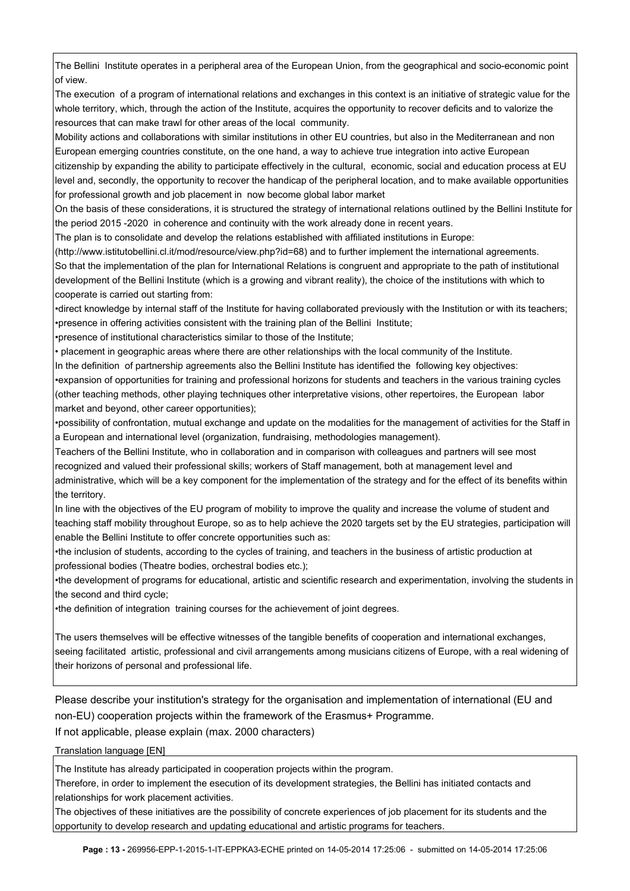The Bellini Institute operates in a peripheral area of the European Union, from the geographical and socio-economic point of view.

The execution of a program of international relations and exchanges in this context is an initiative of strategic value for the whole territory, which, through the action of the Institute, acquires the opportunity to recover deficits and to valorize the resources that can make trawl for other areas of the local community.

Mobility actions and collaborations with similar institutions in other EU countries, but also in the Mediterranean and non European emerging countries constitute, on the one hand, a way to achieve true integration into active European citizenship by expanding the ability to participate effectively in the cultural, economic, social and education process at EU level and, secondly, the opportunity to recover the handicap of the peripheral location, and to make available opportunities for professional growth and job placement in now become global labor market

On the basis of these considerations, it is structured the strategy of international relations outlined by the Bellini Institute for the period 2015 -2020 in coherence and continuity with the work already done in recent years.

The plan is to consolidate and develop the relations established with affiliated institutions in Europe:

(http://www.istitutobellini.cl.it/mod/resource/view.php?id=68) and to further implement the international agreements.

So that the implementation of the plan for International Relations is congruent and appropriate to the path of institutional development of the Bellini Institute (which is a growing and vibrant reality), the choice of the institutions with which to cooperate is carried out starting from:

•direct knowledge by internal staff of the Institute for having collaborated previously with the Institution or with its teachers; •presence in offering activities consistent with the training plan of the Bellini Institute;

•presence of institutional characteristics similar to those of the Institute;

• placement in geographic areas where there are other relationships with the local community of the Institute.

In the definition of partnership agreements also the Bellini Institute has identified the following key objectives:

•expansion of opportunities for training and professional horizons for students and teachers in the various training cycles (other teaching methods, other playing techniques other interpretative visions, other repertoires, the European labor market and beyond, other career opportunities);

•possibility of confrontation, mutual exchange and update on the modalities for the management of activities for the Staff in a European and international level (organization, fundraising, methodologies management).

Teachers of the Bellini Institute, who in collaboration and in comparison with colleagues and partners will see most recognized and valued their professional skills; workers of Staff management, both at management level and administrative, which will be a key component for the implementation of the strategy and for the effect of its benefits within the territory.

In line with the objectives of the EU program of mobility to improve the quality and increase the volume of student and teaching staff mobility throughout Europe, so as to help achieve the 2020 targets set by the EU strategies, participation will enable the Bellini Institute to offer concrete opportunities such as:

•the inclusion of students, according to the cycles of training, and teachers in the business of artistic production at professional bodies (Theatre bodies, orchestral bodies etc.);

•the development of programs for educational, artistic and scientific research and experimentation, involving the students in the second and third cycle;

•the definition of integration training courses for the achievement of joint degrees.

The users themselves will be effective witnesses of the tangible benefits of cooperation and international exchanges, seeing facilitated artistic, professional and civil arrangements among musicians citizens of Europe, with a real widening of their horizons of personal and professional life.

Please describe your institution's strategy for the organisation and implementation of international (EU and non-EU) cooperation projects within the framework of the Erasmus+ Programme.

If not applicable, please explain (max. 2000 characters)

Translation language [EN]

The Institute has already participated in cooperation projects within the program.

Therefore, in order to implement the esecution of its development strategies, the Bellini has initiated contacts and relationships for work placement activities.

The objectives of these initiatives are the possibility of concrete experìences of job placement for its students and the opportunity to develop research and updating educational and artistic programs for teachers.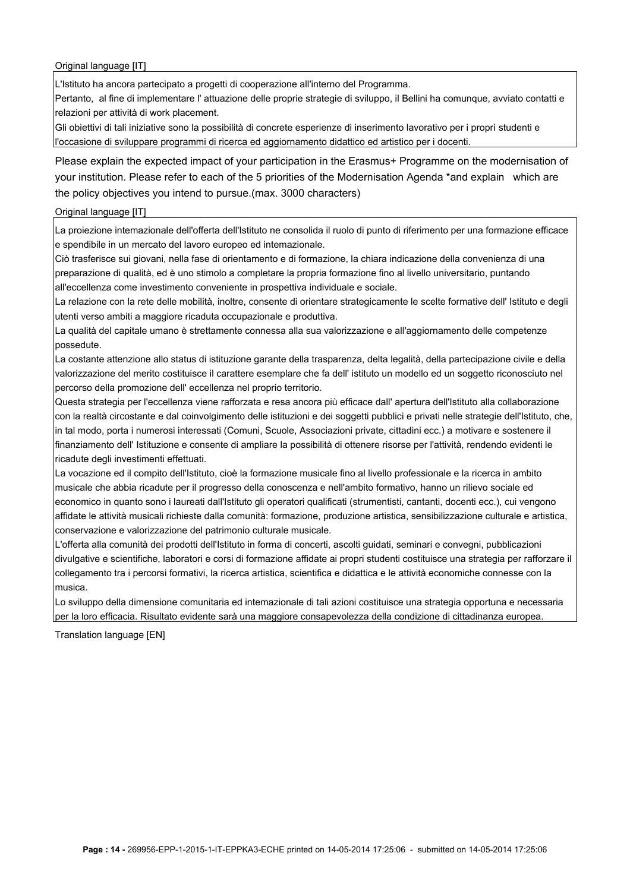Original language [IT]

L'Istituto ha ancora partecipato a progetti di cooperazione all'interno del Programma.

Pertanto, al fine di implementare l' attuazione delle proprie strategie di sviluppo, il Bellini ha comunque, avviato contatti e relazioni per attività di work placement.

Gli obiettivi di tali iniziative sono la possibilità di concrete esperienze di inserimento lavorativo per i proprì studenti e l'occasione di sviluppare programmi di ricerca ed aggiornamento didattico ed artistico per i docenti.

Please explain the expected impact of your participation in the Erasmus+ Programme on the modernisation of your institution. Please refer to each of the 5 priorities of the Modernisation Agenda \*and explain which are the policy objectives you intend to pursue.(max. 3000 characters)

## Original language [IT]

La proiezione intemazionale dell'offerta dell'Istituto ne consolida il ruolo di punto di riferimento per una formazione efficace e spendibile in un mercato del lavoro europeo ed intemazionale.

Ciò trasferisce sui giovani, nella fase di orientamento e di formazione, la chiara indicazione della convenienza di una preparazione di qualità, ed è uno stimolo a completare la propria formazione fino al livello universitario, puntando all'eccellenza come investimento conveniente in prospettiva individuale e sociale.

La relazione con la rete delle mobilità, inoltre, consente di orientare strategicamente le scelte formative dell' Istituto e degli utenti verso ambiti a maggiore ricaduta occupazionale e produttiva.

La qualità del capitale umano è strettamente connessa alla sua valorizzazione e all'aggiornamento delle competenze possedute.

La costante attenzione allo status di istituzione garante della trasparenza, delta legalità, della partecipazione civile e della valorizzazione del merito costituisce il carattere esemplare che fa dell' istituto un modello ed un soggetto riconosciuto nel percorso della promozione dell' eccellenza nel proprio territorio.

Questa strategia per l'eccellenza viene rafforzata e resa ancora più efficace dall' apertura dell'Istituto alla collaborazione con la realtà circostante e dal coinvolgimento delle istituzioni e dei soggetti pubblici e privati nelle strategie dell'Istituto, che, in tal modo, porta i numerosi interessati (Comuni, Scuole, Associazioni private, cittadini ecc.) a motivare e sostenere il finanziamento dell' Istituzione e consente di ampliare la possibilità di ottenere risorse per l'attività, rendendo evidenti le ricadute degli investimenti effettuati.

La vocazione ed il compito dell'Istituto, cioè la formazione musicale fino al livello professionale e la ricerca in ambito musicale che abbia ricadute per il progresso della conoscenza e nell'ambito formativo, hanno un rilievo sociale ed economico in quanto sono i laureati dall'Istituto gli operatori qualificati (strumentisti, cantanti, docenti ecc.), cui vengono affidate le attività musicali richieste dalla comunità: formazione, produzione artistica, sensibilizzazione culturale e artistica, conservazione e valorizzazione del patrimonio culturale musicale.

L'offerta alla comunità dei prodotti dell'Istituto in forma di concerti, ascolti guidati, seminari e convegni, pubblicazioni divulgative e scientifiche, laboratori e corsi di formazione affidate ai propri studenti costituisce una strategia per rafforzare il collegamento tra i percorsi formativi, la ricerca artistica, scientifica e didattica e le attività economiche connesse con la musica.

Lo sviluppo della dimensione comunitaria ed intemazionale di tali azioni costituisce una strategia opportuna e necessaria per la loro efficacia. Risultato evidente sarà una maggiore consapevolezza della condizione di cittadinanza europea.

Translation language [EN]